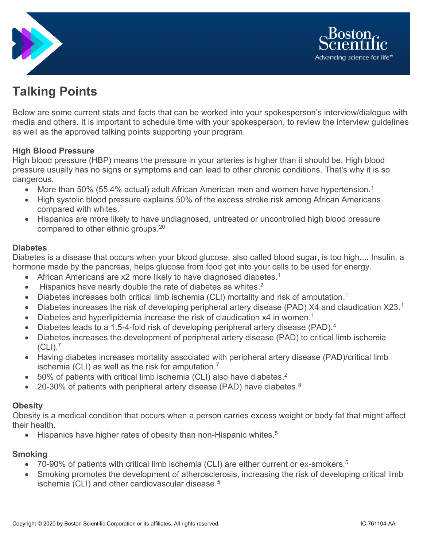



# **Talking Points**

Below are some current stats and facts that can be worked into your spokesperson's interview/dialogue with media and others. It is important to schedule time with your spokesperson, to review the interview guidelines as well as the approved talking points supporting your program.

## **High Blood Pressure**

High blood pressure (HBP) means the pressure in your arteries is higher than it should be. High blood pressure usually has no signs or symptoms and can lead to other chronic conditions. That's why it is so dangerous.

- More than 50% (55.4% actual) adult African American men and women have hypertension.<sup>1</sup>
- High systolic blood pressure explains 50% of the excess stroke risk among African Americans compared with whites.<sup>1</sup>
- Hispanics are more likely to have undiagnosed, untreated or uncontrolled high blood pressure compared to other ethnic groups.<sup>20</sup>

#### **Diabetes**

Diabetes is a disease that occurs when your blood glucose, also called blood sugar, is too high.... Insulin, a hormone made by the pancreas, helps glucose from food get into your cells to be used for energy.

- African Americans are x2 more likely to have diagnosed diabetes.<sup>1</sup>
- $\bullet$  Hispanics have nearly double the rate of diabetes as whites.<sup>2</sup>
- Diabetes increases both critical limb ischemia (CLI) mortality and risk of amputation.<sup>1</sup>
- Diabetes increases the risk of developing peripheral artery disease (PAD) X4 and claudication X23.<sup>1</sup>
- Diabetes and hyperlipidemia increase the risk of claudication x4 in women.<sup>1</sup>
- Diabetes leads to a 1.5-4-fold risk of developing peripheral artery disease (PAD).<sup>4</sup>
- Diabetes increases the development of peripheral artery disease (PAD) to critical limb ischemia  $(CLI).<sup>7</sup>$
- Having diabetes increases mortality associated with peripheral artery disease (PAD)/critical limb ischemia (CLI) as well as the risk for amputation.<sup>7</sup>
- $\bullet$  50% of patients with critical limb ischemia (CLI) also have diabetes.<sup>2</sup>
- 20-30% of patients with peripheral artery disease (PAD) have diabetes. $8$

#### **Obesity**

Obesity is a medical condition that occurs when a person carries excess weight or body fat that might affect their health.

• Hispanics have higher rates of obesity than non-Hispanic whites.<sup>5</sup>

#### **Smoking**

- 70-90% of patients with critical limb ischemia (CLI) are either current or ex-smokers.<sup>5</sup>
- Smoking promotes the development of atherosclerosis, increasing the risk of developing critical limb ischemia (CLI) and other cardiovascular disease. $^5$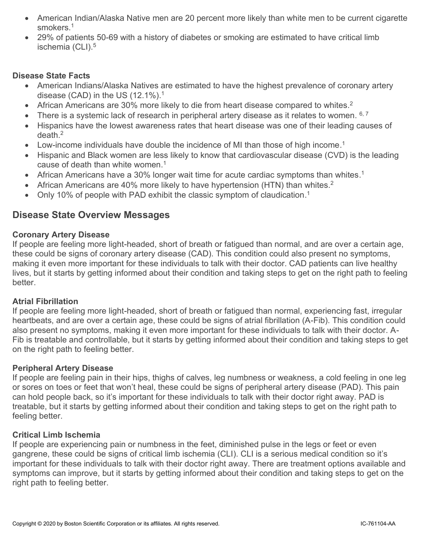- American Indian/Alaska Native men are 20 percent more likely than white men to be current cigarette smokers. 1
- 29% of patients 50-69 with a history of diabetes or smoking are estimated to have critical limb ischemia (CLI). 5

### **Disease State Facts**

- American Indians/Alaska Natives are estimated to have the highest prevalence of coronary artery disease (CAD) in the US  $(12.1\%)$ .<sup>1</sup>
- African Americans are 30% more likely to die from heart disease compared to whites.<sup>2</sup>
- There is a systemic lack of research in peripheral artery disease as it relates to women.  $6, 7$
- Hispanics have the lowest awareness rates that heart disease was one of their leading causes of death. 2
- Low-income individuals have double the incidence of MI than those of high income.<sup>1</sup>
- Hispanic and Black women are less likely to know that cardiovascular disease (CVD) is the leading cause of death than white women. 1
- African Americans have a 30% longer wait time for acute cardiac symptoms than whites.<sup>1</sup>
- African Americans are 40% more likely to have hypertension (HTN) than whites.<sup>2</sup>
- Only 10% of people with PAD exhibit the classic symptom of claudication.<sup>1</sup>

# **Disease State Overview Messages**

#### **Coronary Artery Disease**

If people are feeling more light-headed, short of breath or fatigued than normal, and are over a certain age, these could be signs of coronary artery disease (CAD). This condition could also present no symptoms, making it even more important for these individuals to talk with their doctor. CAD patients can live healthy lives, but it starts by getting informed about their condition and taking steps to get on the right path to feeling better.

#### **Atrial Fibrillation**

If people are feeling more light-headed, short of breath or fatigued than normal, experiencing fast, irregular heartbeats, and are over a certain age, these could be signs of atrial fibrillation (A-Fib). This condition could also present no symptoms, making it even more important for these individuals to talk with their doctor. A-Fib is treatable and controllable, but it starts by getting informed about their condition and taking steps to get on the right path to feeling better.

#### **Peripheral Artery Disease**

If people are feeling pain in their hips, thighs of calves, leg numbness or weakness, a cold feeling in one leg or sores on toes or feet that won't heal, these could be signs of peripheral artery disease (PAD). This pain can hold people back, so it's important for these individuals to talk with their doctor right away. PAD is treatable, but it starts by getting informed about their condition and taking steps to get on the right path to feeling better.

#### **Critical Limb Ischemia**

If people are experiencing pain or numbness in the feet, diminished pulse in the legs or feet or even gangrene, these could be signs of critical limb ischemia (CLI). CLI is a serious medical condition so it's important for these individuals to talk with their doctor right away. There are treatment options available and symptoms can improve, but it starts by getting informed about their condition and taking steps to get on the right path to feeling better.